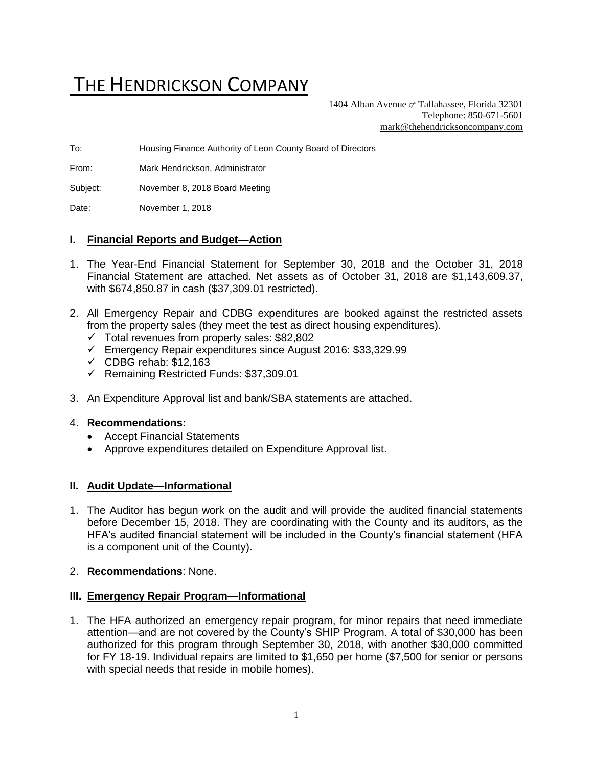# THE HENDRICKSON COMPANY

1404 Alban Avenue  $\sigma$  Tallahassee, Florida 32301 Telephone: 850-671-5601 [mark@thehendricksoncompany.com](mailto:mark@thehendricksoncompany.com)

To: Housing Finance Authority of Leon County Board of Directors

From: Mark Hendrickson, Administrator

Subject: November 8, 2018 Board Meeting

Date: November 1, 2018

#### **I. Financial Reports and Budget—Action**

- 1. The Year-End Financial Statement for September 30, 2018 and the October 31, 2018 Financial Statement are attached. Net assets as of October 31, 2018 are \$1,143,609.37, with \$674,850.87 in cash (\$37,309.01 restricted).
- 2. All Emergency Repair and CDBG expenditures are booked against the restricted assets from the property sales (they meet the test as direct housing expenditures).
	- $\checkmark$  Total revenues from property sales: \$82,802
	- ✓ Emergency Repair expenditures since August 2016: \$33,329.99
	- $\checkmark$  CDBG rehab: \$12,163
	- ✓ Remaining Restricted Funds: \$37,309.01
- 3. An Expenditure Approval list and bank/SBA statements are attached.

#### 4. **Recommendations:**

- Accept Financial Statements
- Approve expenditures detailed on Expenditure Approval list.

#### **II. Audit Update—Informational**

- 1. The Auditor has begun work on the audit and will provide the audited financial statements before December 15, 2018. They are coordinating with the County and its auditors, as the HFA's audited financial statement will be included in the County's financial statement (HFA is a component unit of the County).
- 2. **Recommendations**: None.

#### **III. Emergency Repair Program—Informational**

1. The HFA authorized an emergency repair program, for minor repairs that need immediate attention—and are not covered by the County's SHIP Program. A total of \$30,000 has been authorized for this program through September 30, 2018, with another \$30,000 committed for FY 18-19. Individual repairs are limited to \$1,650 per home (\$7,500 for senior or persons with special needs that reside in mobile homes).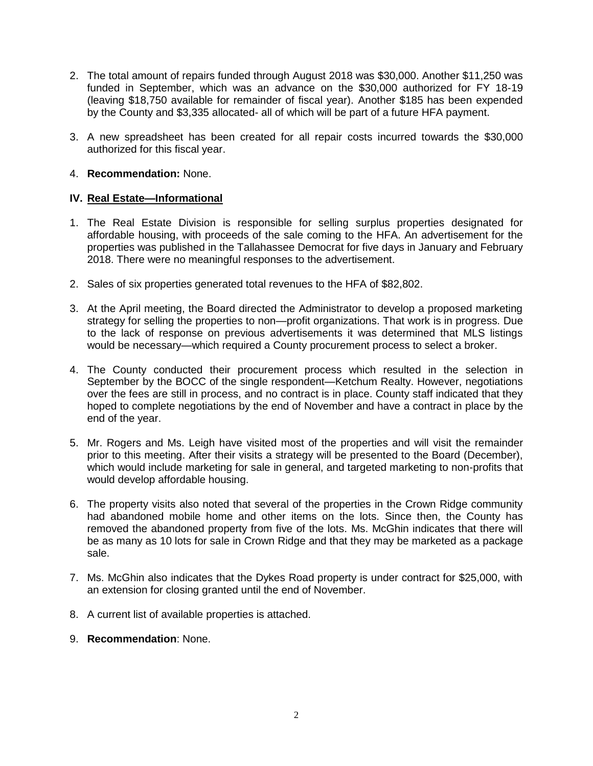- 2. The total amount of repairs funded through August 2018 was \$30,000. Another \$11,250 was funded in September, which was an advance on the \$30,000 authorized for FY 18-19 (leaving \$18,750 available for remainder of fiscal year). Another \$185 has been expended by the County and \$3,335 allocated- all of which will be part of a future HFA payment.
- 3. A new spreadsheet has been created for all repair costs incurred towards the \$30,000 authorized for this fiscal year.

### 4. **Recommendation:** None.

### **IV. Real Estate—Informational**

- 1. The Real Estate Division is responsible for selling surplus properties designated for affordable housing, with proceeds of the sale coming to the HFA. An advertisement for the properties was published in the Tallahassee Democrat for five days in January and February 2018. There were no meaningful responses to the advertisement.
- 2. Sales of six properties generated total revenues to the HFA of \$82,802.
- 3. At the April meeting, the Board directed the Administrator to develop a proposed marketing strategy for selling the properties to non—profit organizations. That work is in progress. Due to the lack of response on previous advertisements it was determined that MLS listings would be necessary—which required a County procurement process to select a broker.
- 4. The County conducted their procurement process which resulted in the selection in September by the BOCC of the single respondent—Ketchum Realty. However, negotiations over the fees are still in process, and no contract is in place. County staff indicated that they hoped to complete negotiations by the end of November and have a contract in place by the end of the year.
- 5. Mr. Rogers and Ms. Leigh have visited most of the properties and will visit the remainder prior to this meeting. After their visits a strategy will be presented to the Board (December), which would include marketing for sale in general, and targeted marketing to non-profits that would develop affordable housing.
- 6. The property visits also noted that several of the properties in the Crown Ridge community had abandoned mobile home and other items on the lots. Since then, the County has removed the abandoned property from five of the lots. Ms. McGhin indicates that there will be as many as 10 lots for sale in Crown Ridge and that they may be marketed as a package sale.
- 7. Ms. McGhin also indicates that the Dykes Road property is under contract for \$25,000, with an extension for closing granted until the end of November.
- 8. A current list of available properties is attached.
- 9. **Recommendation**: None.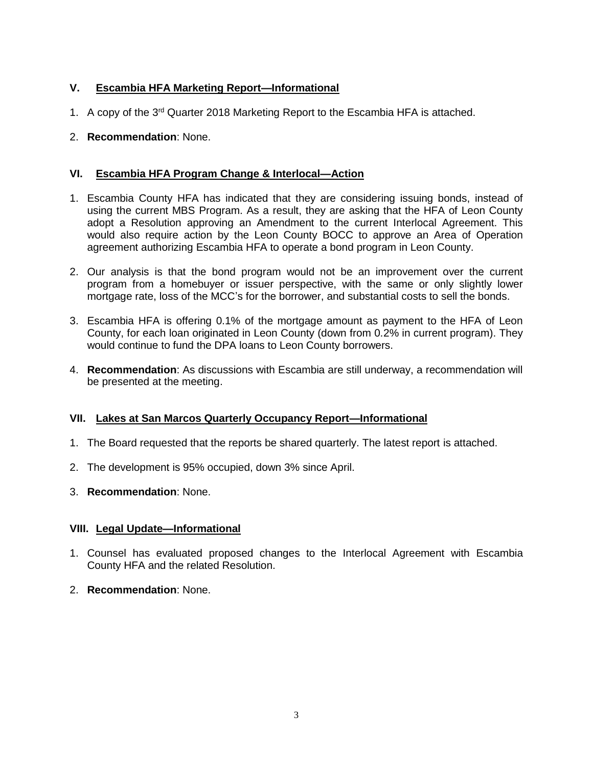## **V. Escambia HFA Marketing Report—Informational**

- 1. A copy of the 3rd Quarter 2018 Marketing Report to the Escambia HFA is attached.
- 2. **Recommendation**: None.

## **VI. Escambia HFA Program Change & Interlocal—Action**

- 1. Escambia County HFA has indicated that they are considering issuing bonds, instead of using the current MBS Program. As a result, they are asking that the HFA of Leon County adopt a Resolution approving an Amendment to the current Interlocal Agreement. This would also require action by the Leon County BOCC to approve an Area of Operation agreement authorizing Escambia HFA to operate a bond program in Leon County.
- 2. Our analysis is that the bond program would not be an improvement over the current program from a homebuyer or issuer perspective, with the same or only slightly lower mortgage rate, loss of the MCC's for the borrower, and substantial costs to sell the bonds.
- 3. Escambia HFA is offering 0.1% of the mortgage amount as payment to the HFA of Leon County, for each loan originated in Leon County (down from 0.2% in current program). They would continue to fund the DPA loans to Leon County borrowers.
- 4. **Recommendation**: As discussions with Escambia are still underway, a recommendation will be presented at the meeting.

## **VII. Lakes at San Marcos Quarterly Occupancy Report—Informational**

- 1. The Board requested that the reports be shared quarterly. The latest report is attached.
- 2. The development is 95% occupied, down 3% since April.
- 3. **Recommendation**: None.

## **VIII. Legal Update—Informational**

- 1. Counsel has evaluated proposed changes to the Interlocal Agreement with Escambia County HFA and the related Resolution.
- 2. **Recommendation**: None.